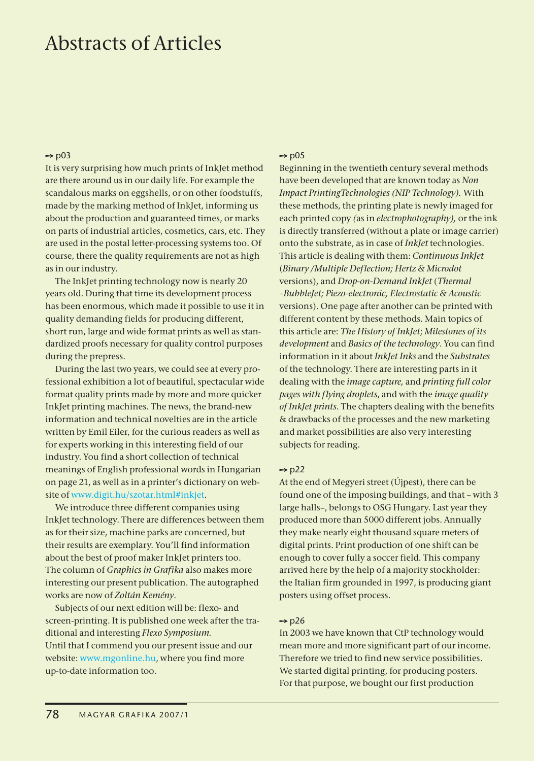# Abstracts of Articles

# $\rightarrow$  p03

It is very surprising how much prints of InkJet method are there around us in our daily life. For example the scandalous marks on eggshells, or on other foodstuffs, made by the marking method of InkJet, informing us about the production and guaranteed times, or marks on parts of industrial articles, cosmetics, cars, etc. They are used in the postal letter-processing systems too. Of course, there the quality requirements are not as high as in our industry.

The InkJet printing technology now is nearly 20 years old. During that time its development process has been enormous, which made it possible to use it in quality demanding fields for producing different, short run, large and wide format prints as well as standardized proofs necessary for quality control purposes during the prepress.

During the last two years, we could see at every professional exhibition a lot of beautiful, spectacular wide format quality prints made by more and more quicker InkJet printing machines. The news, the brand-new information and technical novelties are in the article written by Emil Eiler, for the curious readers as well as for experts working in this interesting field of our industry. You find a short collection of technical meanings of English professional words in Hungarian on page 21, as well as in a printer's dictionary on website of www.digit.hu/szotar.html#inkjet.

We introduce three different companies using InkJet technology. There are differences between them as for their size, machine parks are concerned, but their results are exemplary. You'll find information about the best of proof maker InkJet printers too. The column of *Graphics in Grafika* also makes more interesting our present publication. The autographed works are now of *Zoltán Kemény*.

Subjects of our next edition will be: flexo- and screen-printing. It is published one week after the traditional and interesting *Flexo Symposium.* Until that I commend you our present issue and our website: www.mgonline.hu, where you find more up-to-date information too.

# $\rightarrow$  p05

Beginning in the twentieth century several methods have been developed that are known today as *Non Impact PrintingTechnologies (NIP Technology).* With these methods, the printing plate is newly imaged for each printed copy *(*as in *electrophotography),* or the ink is directly transferred (without a plate or image carrier) onto the substrate, as in case of *InkJet* technologies. This article is dealing with them: *Continuous InkJet* (*Binary /Multiple Deflection; Hertz & Microdot*  versions), and *Drop-on-Demand InkJet* (*Thermal –BubbleJet; Piezo-electronic, Electrostatic & Acoustic*  versions). One page after another can be printed with different content by these methods. Main topics of this article are: *The History of InkJet*; *Milestones of its development* and *Basics of the technology*. You can find information in it about *InkJet Inks* and the *Substrates* of the technology. There are interesting parts in it dealing with the *image capture,* and *printing full color pages with flying droplets*, and with the *image quality of InkJet prints*. The chapters dealing with the benefits & drawbacks of the processes and the new marketing and market possibilities are also very interesting subjects for reading.

# $\rightarrow$  p22

At the end of Megyeri street (Újpest), there can be found one of the imposing buildings, and that – with 3 large halls–, belongs to OSG Hungary. Last year they produced more than 5000 different jobs. Annually they make nearly eight thousand square meters of digital prints. Print production of one shift can be enough to cover fully a soccer field. This company arrived here by the help of a majority stockholder: the Italian firm grounded in 1997, is producing giant posters using offset process.

# $\rightarrow$  p26

In 2003 we have known that CtP technology would mean more and more significant part of our income. Therefore we tried to find new service possibilities. We started digital printing, for producing posters. For that purpose, we bought our first production